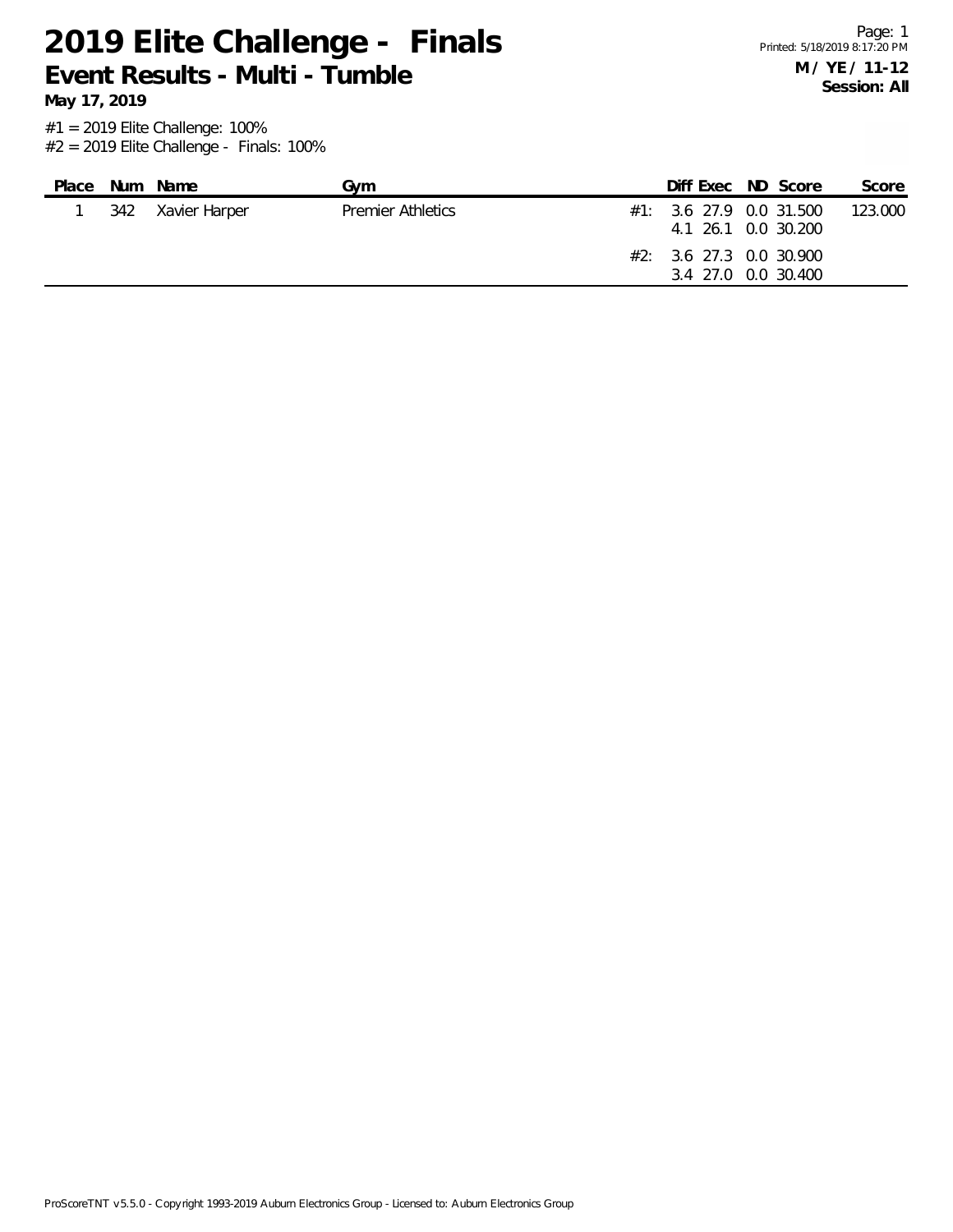**May 17, 2019**

| Place |     | Num Name      | Gvm               | Diff Exec ND Score                                |  | Score   |
|-------|-----|---------------|-------------------|---------------------------------------------------|--|---------|
|       | 342 | Xavier Harper | Premier Athletics | $\#1:$ 3.6 27.9 0.0 31.500<br>4.1 26.1 0.0 30.200 |  | 123.000 |
|       |     |               |                   | $#2: 3.6$ 27.3 0.0 30.900<br>3.4 27.0 0.0 30.400  |  |         |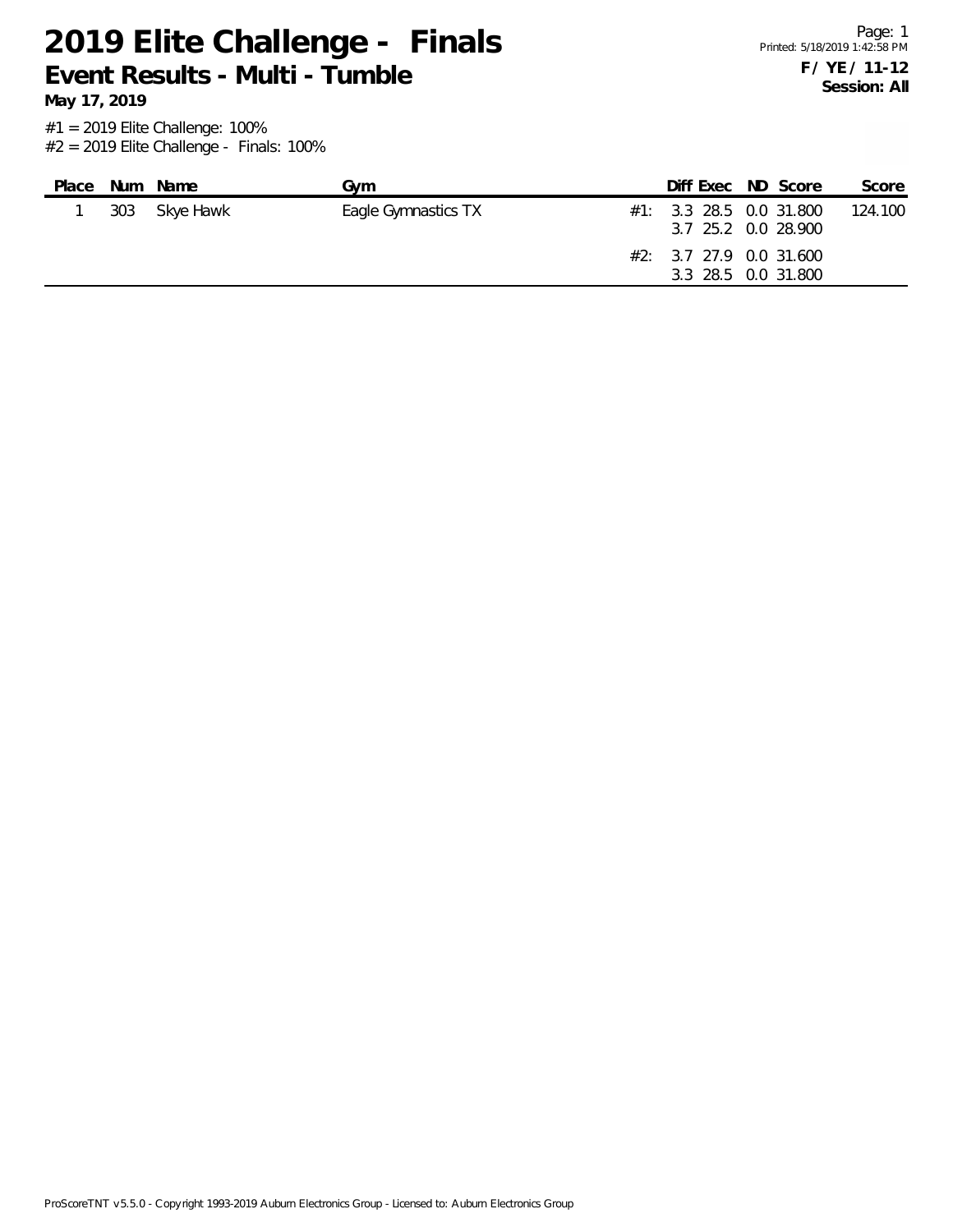**May 17, 2019**

| Place |     | Num Name  | Gvm                 |  | Diff Exec ND Score                                                               | Score   |
|-------|-----|-----------|---------------------|--|----------------------------------------------------------------------------------|---------|
|       | 303 | Skye Hawk | Eagle Gymnastics TX |  | $\#1:$ 3.3 28.5 0.0 31.800<br>3.7 25.2 0.0 28.900<br>$\#2$ : 3.7 27.9 0.0 31.600 | 124.100 |
|       |     |           |                     |  | 3.3 28.5 0.0 31.800                                                              |         |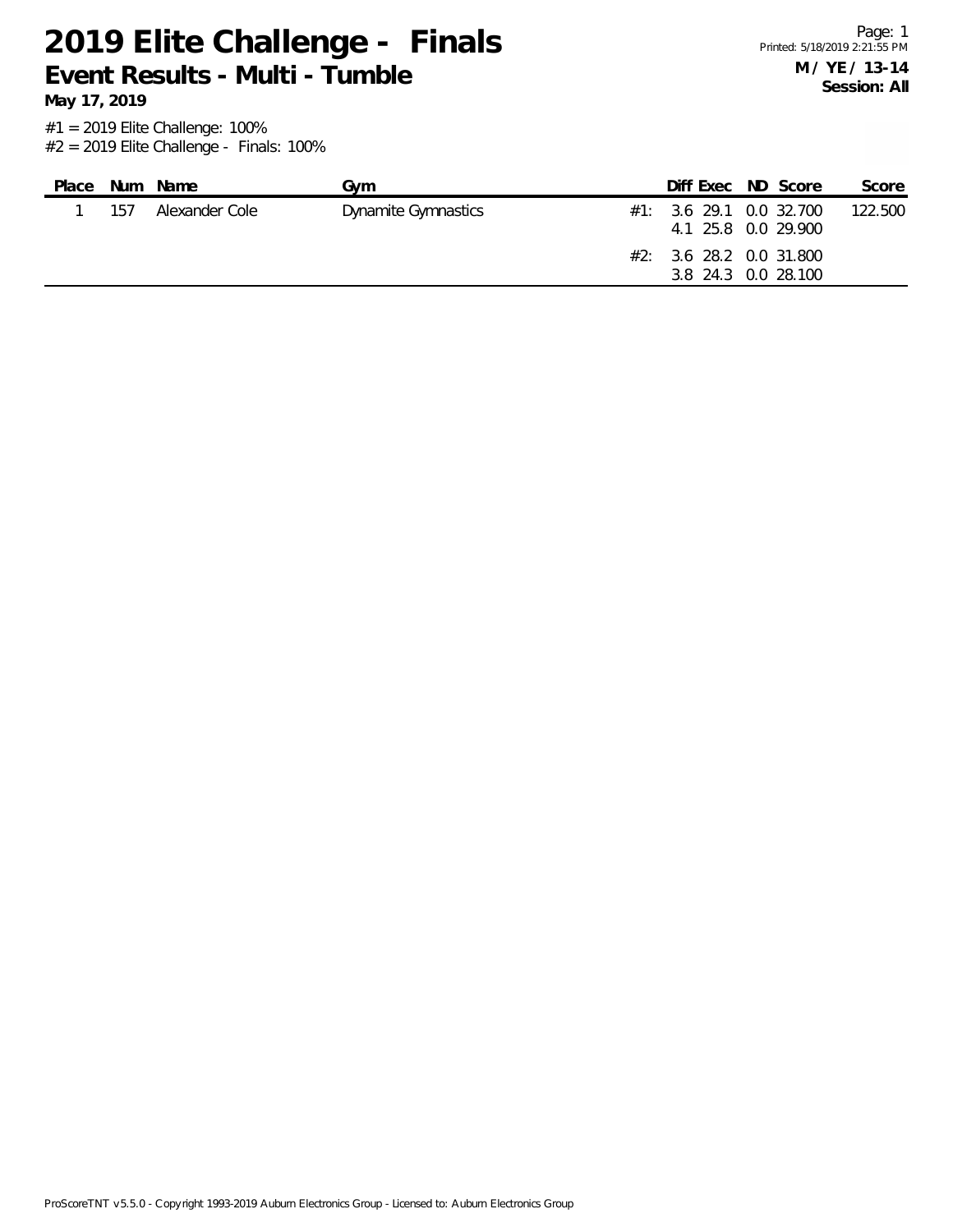**May 17, 2019**

| Place | Num | Name           | Gvm                        | Diff Exec ND Score                               |  | Score   |
|-------|-----|----------------|----------------------------|--------------------------------------------------|--|---------|
|       | 157 | Alexander Cole | <b>Dynamite Gymnastics</b> | $#1: 3.6$ 29.1 0.0 32.700<br>4.1 25.8 0.0 29.900 |  | 122.500 |
|       |     |                |                            | $#2: 3.6$ 28.2 0.0 31.800<br>3.8 24.3 0.0 28.100 |  |         |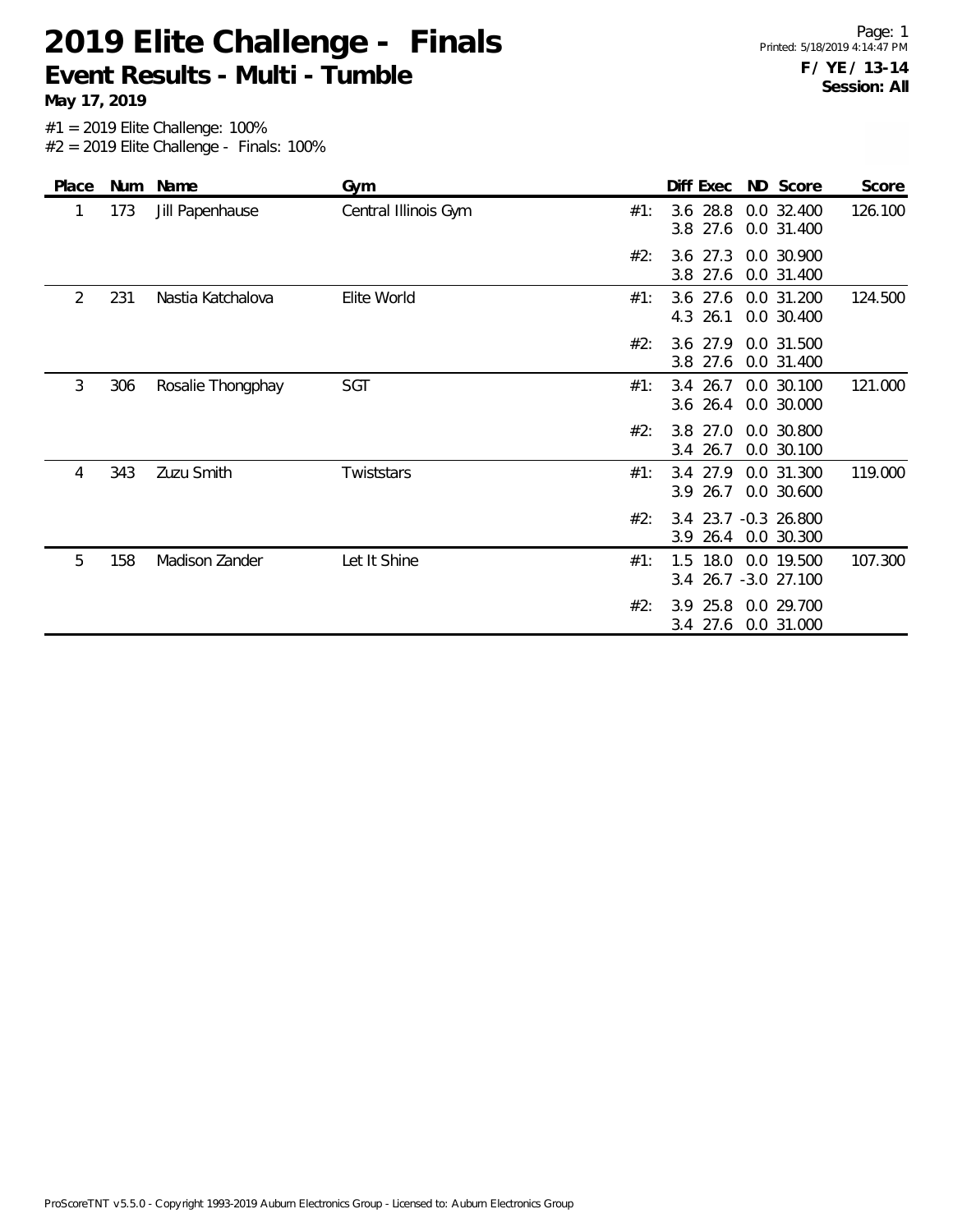**May 17, 2019**

| Place | Num | Name              | Gym                  |     | Diff Exec                           | ND Score                 | Score   |
|-------|-----|-------------------|----------------------|-----|-------------------------------------|--------------------------|---------|
| 1     | 173 | Jill Papenhause   | Central Illinois Gym | #1: | 3.6 28.8<br>3.8 27.6                | 0.0 32.400<br>0.0 31.400 | 126.100 |
|       |     |                   |                      | #2: | 27.3<br>3.6<br>3.8 27.6             | 0.0 30.900<br>0.0 31.400 |         |
| 2     | 231 | Nastia Katchalova | Elite World          | #1: | $3.6$ 27.6<br>4.3 26.1              | 0.0 31.200<br>0.0 30.400 | 124.500 |
|       |     |                   |                      | #2: | 3.6 27.9<br>3.8 27.6                | 0.0 31.500<br>0.0 31.400 |         |
| 3     | 306 | Rosalie Thongphay | SGT                  | #1: | 3.4 26.7<br>$3.6$ 26.4              | 0.0 30.100<br>0.0 30.000 | 121.000 |
|       |     |                   |                      | #2: | 3.8 27.0<br>26.7<br>$3.4^{\circ}$   | 0.0 30.800<br>0.0 30.100 |         |
| 4     | 343 | Zuzu Smith        | Twiststars           | #1: | 3.4 27.9<br>3.9 26.7                | 0.0 31.300<br>0.0 30.600 | 119.000 |
|       |     |                   |                      | #2: | 3.4 23.7 -0.3 26.800<br>3.9<br>26.4 | 0.0 30.300               |         |
| 5     | 158 | Madison Zander    | Let It Shine         | #1: | 18.0<br>1.5<br>3.4 26.7 -3.0 27.100 | 0.0 19.500               | 107.300 |
|       |     |                   |                      | #2: | $3.9$ 25.8<br>3.4 27.6              | 0.0 29.700<br>0.0 31.000 |         |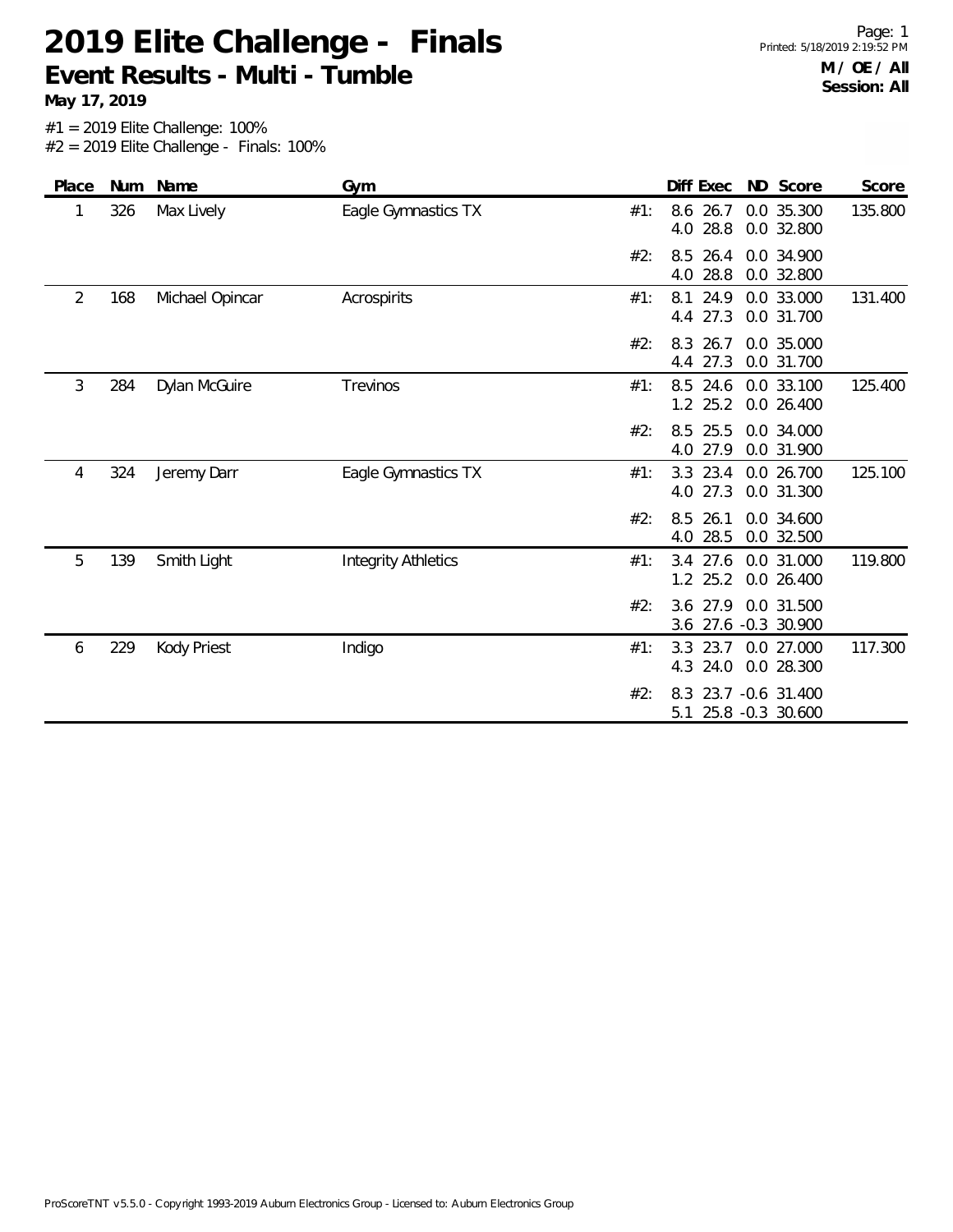**May 17, 2019**

| Place | Num | Name            | Gym                        |     | Diff Exec                  | ND Score                             | Score   |
|-------|-----|-----------------|----------------------------|-----|----------------------------|--------------------------------------|---------|
| 1     | 326 | Max Lively      | Eagle Gymnastics TX        | #1: | 8.6 26.7<br>28.8<br>4.0    | 0.0 35.300<br>0.0 32.800             | 135.800 |
|       |     |                 |                            | #2: | 26.4<br>8.5<br>28.8<br>4.0 | 0.0 34.900<br>0.0 32.800             |         |
| 2     | 168 | Michael Opincar | Acrospirits                | #1: | 8.1 24.9<br>27.3<br>4.4    | 0.0 33.000<br>0.0 31.700             | 131.400 |
|       |     |                 |                            | #2: | 26.7<br>8.3<br>27.3<br>4.4 | 0.0 35.000<br>0.0 31.700             |         |
| 3     | 284 | Dylan McGuire   | Trevinos                   | #1: | 8.5 24.6<br>25.2<br>1.2    | 0.0 33.100<br>0.0 26.400             | 125.400 |
|       |     |                 |                            | #2: | 8.5 25.5<br>27.9<br>4.0    | 0.0 34.000<br>0.0 31.900             |         |
| 4     | 324 | Jeremy Darr     | Eagle Gymnastics TX        | #1: | 3.3 23.4<br>4.0 27.3       | 0.0 26.700<br>0.0 31.300             | 125.100 |
|       |     |                 |                            | #2: | 26.1<br>8.5<br>28.5<br>4.0 | 0.0 34.600<br>0.0 32.500             |         |
| 5     | 139 | Smith Light     | <b>Integrity Athletics</b> | #1: | 27.6<br>3.4<br>$1.2$ 25.2  | 0.0 31.000<br>0.0 26.400             | 119.800 |
|       |     |                 |                            | #2: | 27.9<br>3.6                | 0.0 31.500<br>3.6 27.6 -0.3 30.900   |         |
| 6     | 229 | Kody Priest     | Indigo                     | #1: | 23.7<br>3.3<br>24.0<br>4.3 | 0.0 27.000<br>0.0 28.300             | 117.300 |
|       |     |                 |                            | #2: | 8.3<br>5.1                 | 23.7 -0.6 31.400<br>25.8 -0.3 30.600 |         |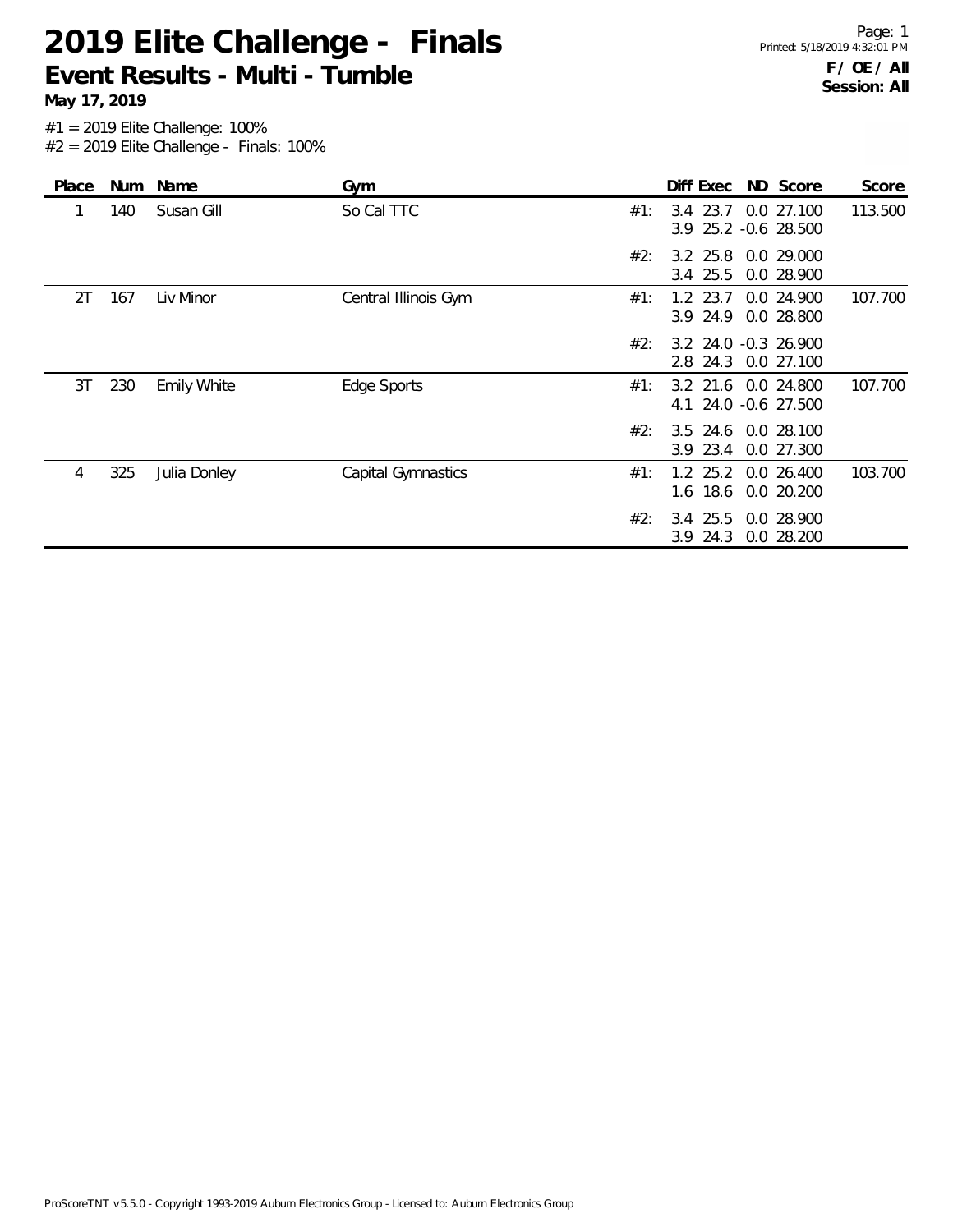**May 17, 2019**

| Place | <b>Num</b> | Name               | Gym                  |     | Diff Exec                           | ND Score                 | Score   |
|-------|------------|--------------------|----------------------|-----|-------------------------------------|--------------------------|---------|
|       | 140        | Susan Gill         | So Cal TTC           | #1: | 23.7<br>3.4<br>3.9 25.2 -0.6 28.500 | 0.0 27.100               | 113.500 |
|       |            |                    |                      | #2: | 3.2 25.8 0.0 29.000<br>3.4 25.5     | 0.0 28.900               |         |
| 2T    | 167        | Liv Minor          | Central Illinois Gym | #1: | $1.2$ 23.7<br>3.9 24.9              | 0.0 24.900<br>0.0 28.800 | 107.700 |
|       |            |                    |                      | #2: | 3.2 24.0 -0.3 26.900<br>2.8 24.3    | 0.0 27.100               |         |
| 3T    | 230        | <b>Emily White</b> | Edge Sports          | #1: | 3.2 21.6 0.0 24.800<br>4.1          | 24.0 -0.6 27.500         | 107.700 |
|       |            |                    |                      | #2: | 3.5 24.6 0.0 28.100<br>$3.9$ 23.4   | 0.0 27.300               |         |
| 4     | 325        | Julia Donley       | Capital Gymnastics   | #1: | $1.2$ 25.2<br>1.6 18.6              | 0.0 26.400<br>0.0 20.200 | 103.700 |
|       |            |                    |                      | #2: | 3.4 25.5<br>$3.9$ 24.3              | 0.0 28.900<br>0.0 28.200 |         |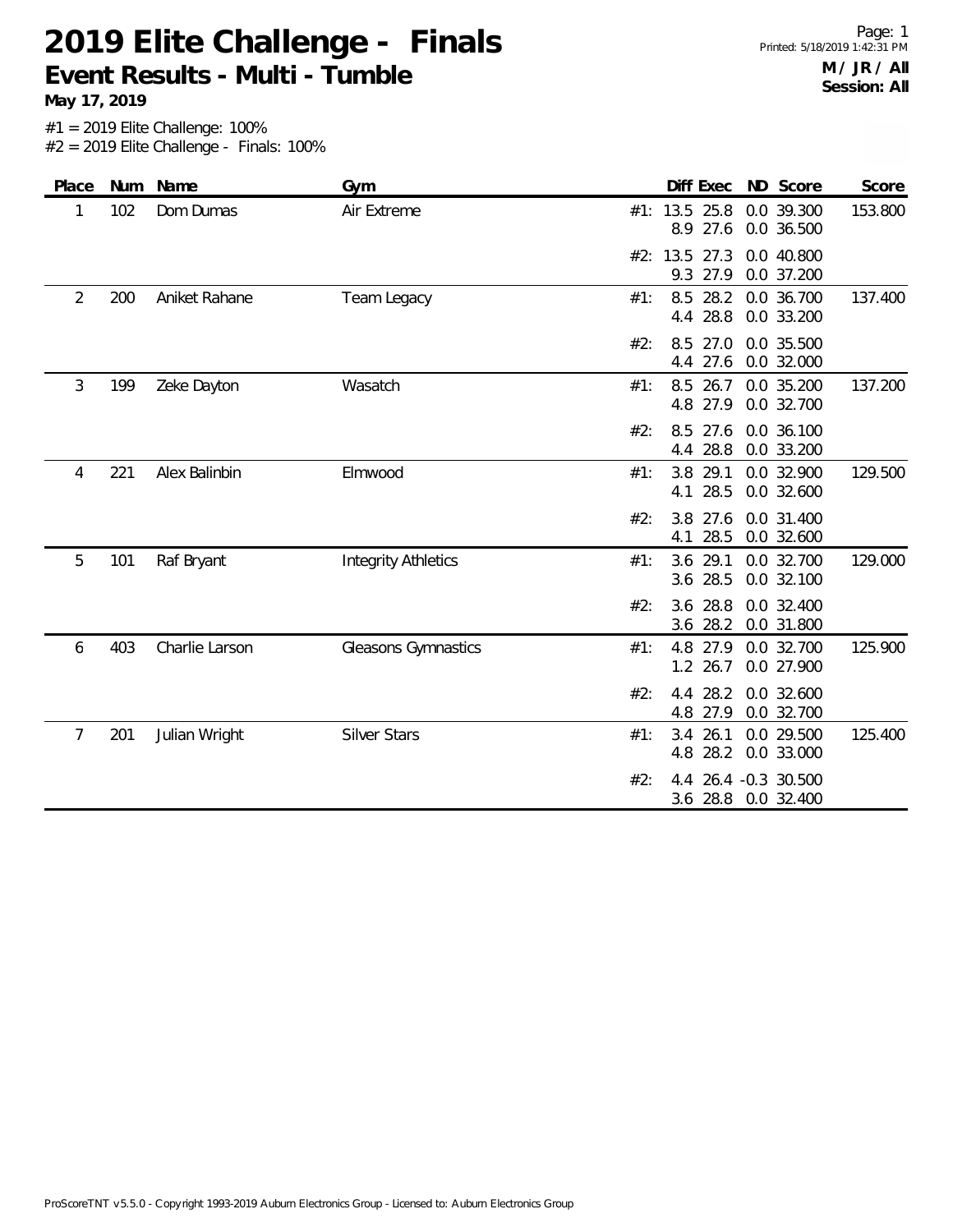**May 17, 2019**

| Place          |     | Num Name       | Gym                        |     | Diff Exec                    | ND Score                                | Score   |
|----------------|-----|----------------|----------------------------|-----|------------------------------|-----------------------------------------|---------|
| 1              | 102 | Dom Dumas      | Air Extreme                |     | #1: 13.5 25.8<br>8.9 27.6    | 0.0 39.300<br>0.0 36.500                | 153.800 |
|                |     |                |                            |     | 27.3<br>#2: 13.5<br>9.3 27.9 | 0.0 40.800<br>0.0 37.200                |         |
| $\overline{2}$ | 200 | Aniket Rahane  | Team Legacy                | #1: | 28.8<br>4.4                  | 8.5 28.2 0.0 36.700<br>0.0 33.200       | 137.400 |
|                |     |                |                            | #2: | 27.0<br>8.5<br>4.4 27.6      | 0.0 35.500<br>0.0 32.000                |         |
| 3              | 199 | Zeke Dayton    | Wasatch                    | #1: | 8.5 26.7<br>4.8 27.9         | 0.0 35.200<br>0.0 32.700                | 137.200 |
|                |     |                |                            | #2: | 27.6<br>8.5<br>4.4 28.8      | 0.0 36.100<br>0.0 33.200                |         |
| 4              | 221 | Alex Balinbin  | Elmwood                    | #1: | 3.8 29.1<br>28.5<br>4.1      | 0.0 32.900<br>0.0 32.600                | 129.500 |
|                |     |                |                            | #2: | 3.8 27.6<br>28.5<br>4.1      | 0.0 31.400<br>0.0 32.600                |         |
| 5              | 101 | Raf Bryant     | <b>Integrity Athletics</b> | #1: | 3.6 29.1<br>3.6 28.5         | 0.0 32.700<br>0.0 32.100                | 129.000 |
|                |     |                |                            | #2: | 28.8<br>3.6<br>3.6 28.2      | 0.0 32.400<br>0.0 31.800                |         |
| 6              | 403 | Charlie Larson | Gleasons Gymnastics        | #1: | 4.8 27.9<br>1.2 26.7         | 0.0 32.700<br>0.0 27.900                | 125.900 |
|                |     |                |                            | #2: | 28.2<br>4.4<br>27.9<br>4.8   | 0.0 32.600<br>0.0 32.700                |         |
| $\overline{7}$ | 201 | Julian Wright  | <b>Silver Stars</b>        | #1: | 3.4<br>26.1<br>28.2<br>4.8   | 0.0 29.500<br>0.0 33.000                | 125.400 |
|                |     |                |                            | #2: | 4.4                          | 26.4 -0.3 30.500<br>3.6 28.8 0.0 32.400 |         |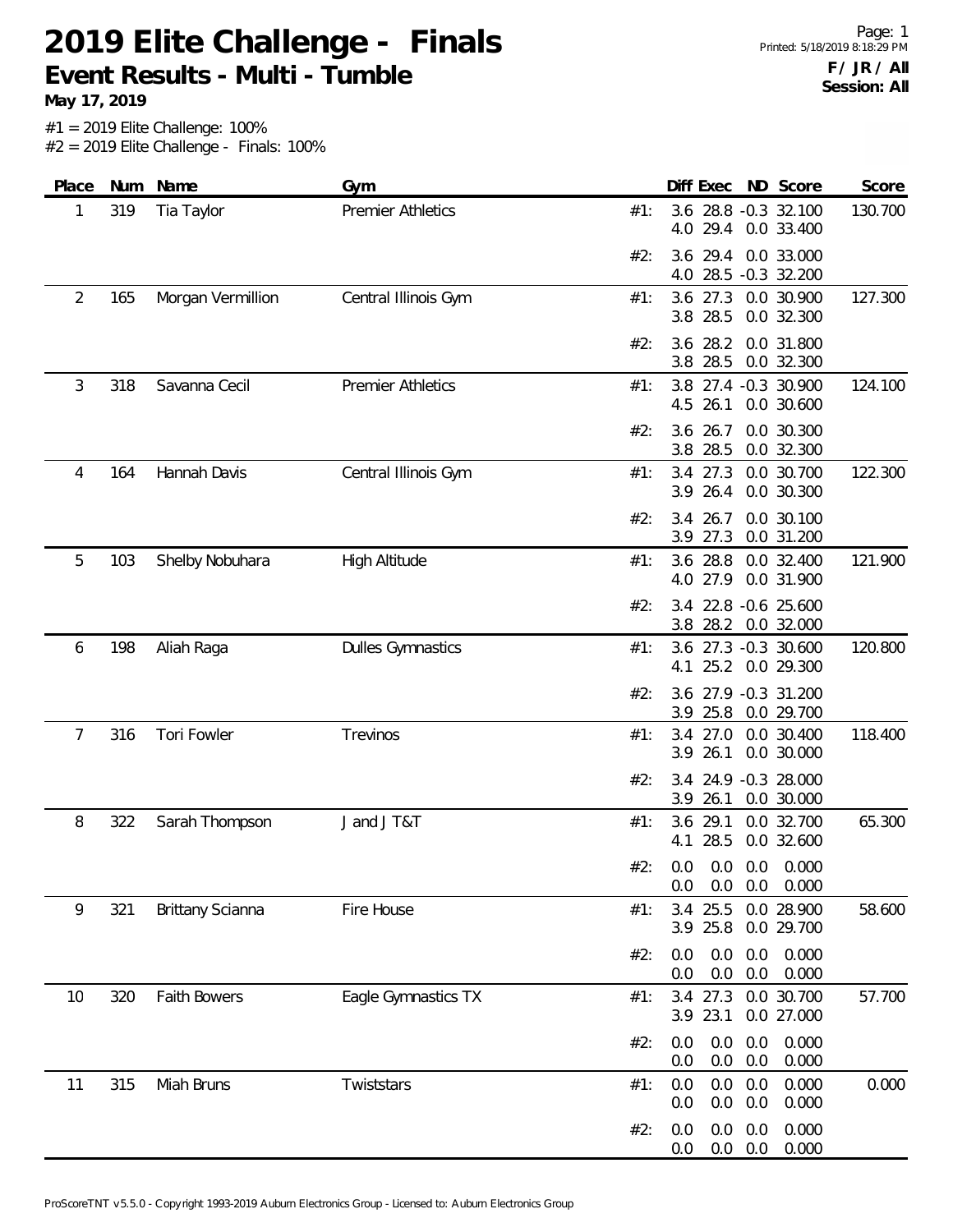| Place          | Num | Name                    | Gym                      |     | Diff Exec                           |            | ND Score                       | Score   |
|----------------|-----|-------------------------|--------------------------|-----|-------------------------------------|------------|--------------------------------|---------|
| 1              | 319 | Tia Taylor              | <b>Premier Athletics</b> | #1: | 3.6 28.8 -0.3 32.100<br>29.4<br>4.0 |            | 0.0 33.400                     | 130.700 |
|                |     |                         |                          | #2: | 29.4<br>3.6<br>4.0                  |            | 0.0 33.000<br>28.5 -0.3 32.200 |         |
| $\overline{2}$ | 165 | Morgan Vermillion       | Central Illinois Gym     | #1: | 3.6 27.3<br>28.5<br>3.8             |            | 0.0 30.900<br>0.0 32.300       | 127.300 |
|                |     |                         |                          | #2: | 28.2<br>3.6<br>3.8<br>28.5          |            | 0.0 31.800<br>0.0 32.300       |         |
| 3              | 318 | Savanna Cecil           | <b>Premier Athletics</b> | #1: | 27.4<br>3.8<br>4.5 26.1             |            | $-0.3$ 30.900<br>0.0 30.600    | 124.100 |
|                |     |                         |                          | #2: | 3.6 26.7<br>28.5<br>3.8             |            | 0.0 30.300<br>0.0 32.300       |         |
| 4              | 164 | Hannah Davis            | Central Illinois Gym     | #1: | 27.3<br>3.4<br>3.9<br>26.4          |            | 0.0 30.700<br>0.0 30.300       | 122.300 |
|                |     |                         |                          | #2: | 3.4<br>26.7<br>3.9 27.3             |            | 0.0 30.100<br>0.0 31.200       |         |
| 5              | 103 | Shelby Nobuhara         | High Altitude            | #1: | 3.6 28.8<br>4.0 27.9                |            | 0.0 32.400<br>0.0 31.900       | 121.900 |
|                |     |                         |                          | #2: | 3.4<br>28.2<br>3.8                  |            | 22.8 -0.6 25.600<br>0.0 32.000 |         |
| 6              | 198 | Aliah Raga              | <b>Dulles Gymnastics</b> | #1: | 3.6 27.3 -0.3 30.600<br>4.1         |            | 25.2 0.0 29.300                | 120.800 |
|                |     |                         |                          | #2: | 3.6<br>27.9<br>25.8<br>3.9          |            | $-0.3$ 31.200<br>0.0 29.700    |         |
| 7              | 316 | <b>Tori Fowler</b>      | Trevinos                 | #1: | 3.4<br>27.0<br>3.9<br>26.1          |            | 0.0 30.400<br>0.0 30.000       | 118.400 |
|                |     |                         |                          | #2: | 3.4<br>3.9<br>26.1                  |            | 24.9 -0.3 28.000<br>0.0 30.000 |         |
| 8              | 322 | Sarah Thompson          | J and J T&T              | #1: | 3.6 29.1<br>28.5<br>4.1             |            | 0.0 32.700<br>0.0 32.600       | 65.300  |
|                |     |                         |                          | #2: | 0.0<br>0.0<br>0.0<br>0.0            | 0.0        | $0.0\quad 0.000$<br>0.000      |         |
| 9              | 321 | <b>Brittany Scianna</b> | Fire House               | #1: | 25.5<br>3.4<br>25.8<br>3.9          |            | 0.0 28.900<br>0.0 29.700       | 58.600  |
|                |     |                         |                          | #2: | 0.0<br>0.0<br>0.0<br>0.0            | 0.0<br>0.0 | 0.000<br>0.000                 |         |
| 10             | 320 | <b>Faith Bowers</b>     | Eagle Gymnastics TX      | #1: | 3.4 27.3<br>23.1<br>3.9             |            | 0.0 30.700<br>0.0 27.000       | 57.700  |
|                |     |                         |                          | #2: | 0.0<br>0.0<br>0.0<br>0.0            | 0.0<br>0.0 | 0.000<br>0.000                 |         |
| 11             | 315 | Miah Bruns              | Twiststars               | #1: | 0.0<br>0.0<br>0.0<br>0.0            | 0.0<br>0.0 | 0.000<br>0.000                 | 0.000   |
|                |     |                         |                          | #2: | 0.0<br>0.0<br>0.0<br>0.0            | 0.0<br>0.0 | 0.000<br>0.000                 |         |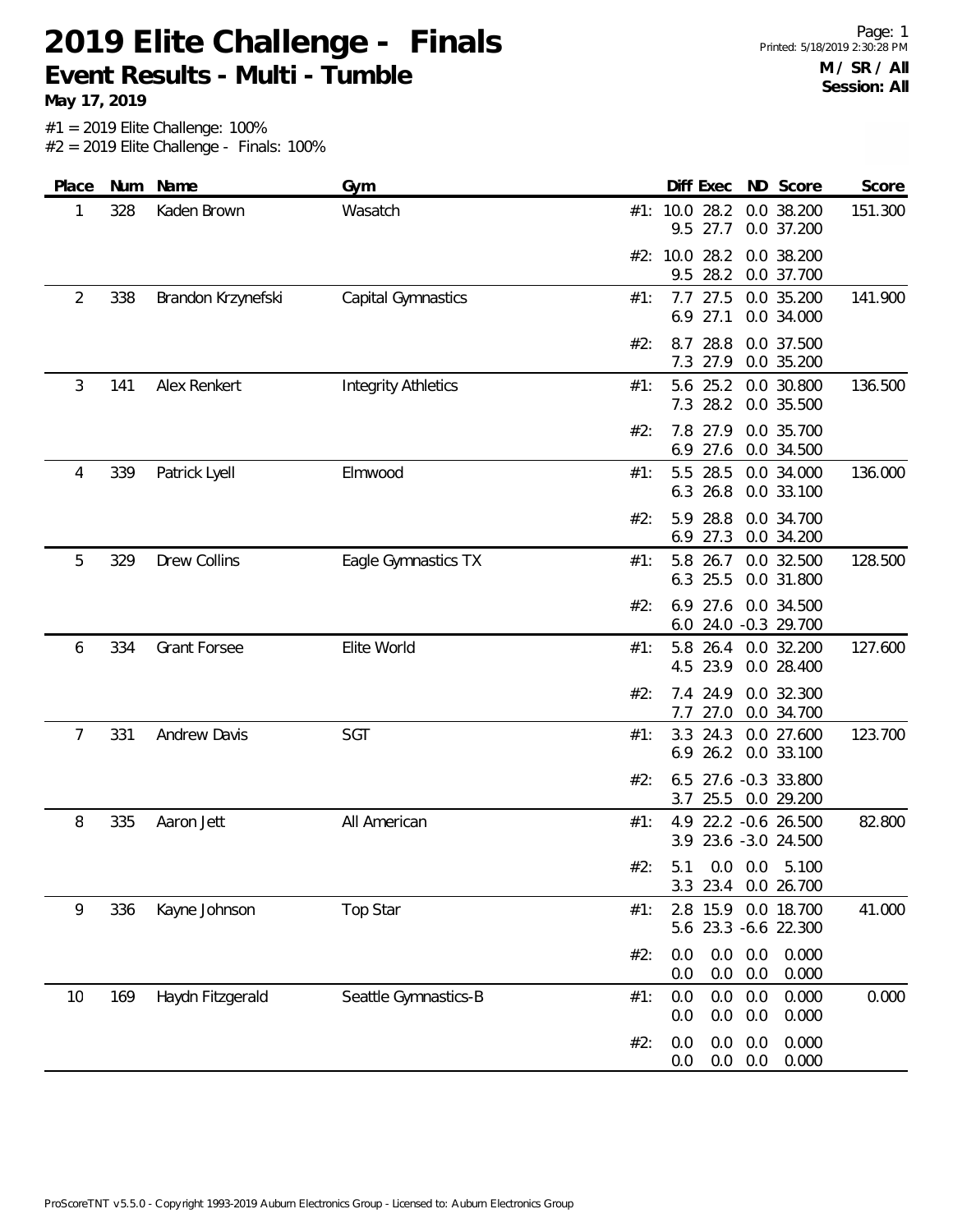**May 17, 2019**

| Place          | Num | Name                | Gym                        |     |                              | Diff Exec ND Score                           | Score   |
|----------------|-----|---------------------|----------------------------|-----|------------------------------|----------------------------------------------|---------|
| 1              | 328 | Kaden Brown         | Wasatch                    |     | #1: 10.0 28.2<br>9.5 27.7    | 0.0 38.200<br>0.0 37.200                     | 151.300 |
|                |     |                     |                            |     | #2: 10.0 28.2<br>28.2<br>9.5 | 0.0 38.200<br>0.0 37.700                     |         |
| $\overline{2}$ | 338 | Brandon Krzynefski  | Capital Gymnastics         | #1: | 7.7 27.5<br>6.9 27.1         | 0.0 35.200<br>0.0 34.000                     | 141.900 |
|                |     |                     |                            | #2: | 8.7 28.8<br>7.3 27.9         | 0.0 37.500<br>0.0 35.200                     |         |
| 3              | 141 | Alex Renkert        | <b>Integrity Athletics</b> | #1: | 5.6 25.2<br>7.3 28.2         | 0.0 30.800<br>0.0 35.500                     | 136.500 |
|                |     |                     |                            | #2: | 27.9<br>7.8<br>6.9 27.6      | 0.0 35.700<br>0.0 34.500                     |         |
| 4              | 339 | Patrick Lyell       | Elmwood                    | #1: | 5.5 28.5<br>6.3 26.8         | 0.0 34.000<br>0.0 33.100                     | 136.000 |
|                |     |                     |                            | #2: | 5.9 28.8<br>6.9 27.3         | 0.0 34.700<br>0.0 34.200                     |         |
| 5              | 329 | Drew Collins        | Eagle Gymnastics TX        | #1: | 5.8 26.7<br>6.3 25.5         | 0.0 32.500<br>0.0 31.800                     | 128.500 |
|                |     |                     |                            | #2: | 6.9 27.6                     | 0.0 34.500<br>6.0 24.0 -0.3 29.700           |         |
| 6              | 334 | <b>Grant Forsee</b> | Elite World                | #1: | 5.8 26.4<br>4.5<br>23.9      | 0.0 32.200<br>0.0 28.400                     | 127.600 |
|                |     |                     |                            | #2: | 7.4 24.9<br>27.0<br>7.7      | 0.0 32.300<br>0.0 34.700                     |         |
| 7              | 331 | <b>Andrew Davis</b> | SGT                        | #1: | 3.3 24.3<br>$6.9$ 26.2       | 0.0 27.600<br>0.0 33.100                     | 123.700 |
|                |     |                     |                            | #2: | 3.7                          | 6.5 27.6 -0.3 33.800<br>25.5 0.0 29.200      |         |
| 8              | 335 | Aaron Jett          | All American               | #1: | 4.9                          | 22.2 -0.6 26.500<br>3.9 23.6 -3.0 24.500     | 82.800  |
|                |     |                     |                            |     |                              | #2: 5.1 0.0 0.0 5.100<br>3.3 23.4 0.0 26.700 |         |
| 9              | 336 | Kayne Johnson       | Top Star                   | #1: |                              | 2.8 15.9 0.0 18.700<br>5.6 23.3 -6.6 22.300  | 41.000  |
|                |     |                     |                            | #2: | 0.0<br>0.0<br>0.0<br>0.0     | 0.0<br>0.000<br>0.0<br>0.000                 |         |
| 10             | 169 | Haydn Fitzgerald    | Seattle Gymnastics-B       | #1: | 0.0<br>0.0<br>0.0<br>0.0     | 0.000<br>0.0<br>0.0<br>0.000                 | 0.000   |
|                |     |                     |                            | #2: | 0.0<br>0.0<br>0.0<br>0.0     | 0.000<br>0.0<br>0.000<br>0.0                 |         |